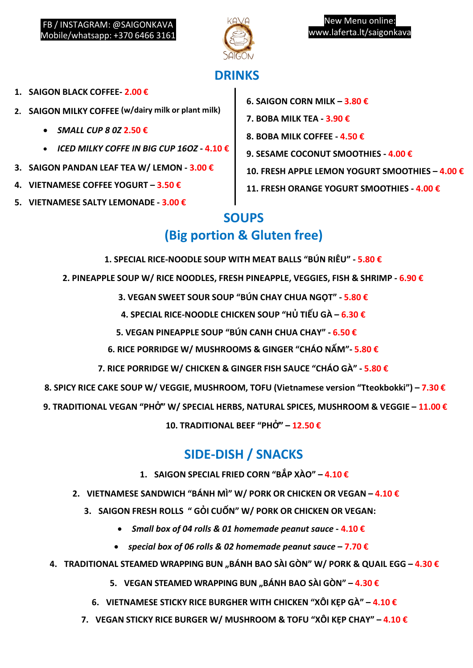

# **DRINKS**

- **1. SAIGON BLACK COFFEE- 2.00 €**
- **2. SAIGON MILKY COFFEE (w/dairy milk or plant milk)**
	- *SMALL CUP 8 0Z* **2.50 €**
	- *ICED MILKY COFFE IN BIG CUP 16OZ* **- 4.10 €**
- **3. SAIGON PANDAN LEAF TEA W/ LEMON - 3.00 €**
- **4. VIETNAMESE COFFEE YOGURT – 3.50 €**
- **5. VIETNAMESE SALTY LEMONADE - 3.00 €**
- **6. SAIGON CORN MILK – 3.80 €**
- **7. BOBA MILK TEA - 3.90 €**
- **8. BOBA MILK COFFEE - 4.50 €**
- **9. SESAME COCONUT SMOOTHIES - 4.00 €**
- **10. FRESH APPLE LEMON YOGURT SMOOTHIES – 4.00 €**
- **11. FRESH ORANGE YOGURT SMOOTHIES - 4.00 €**

## **SOUPS**

# **(Big portion & Gluten free)**

- **1. SPECIAL RICE-NOODLE SOUP WITH MEAT BALLS "BÚN RIÊU" - 5.80 €**
- **2. PINEAPPLE SOUP W/ RICE NOODLES, FRESH PINEAPPLE, VEGGIES, FISH & SHRIMP - 6.90 €**
	- **3. VEGAN SWEET SOUR SOUP "BÚN CHAY CHUA NGỌT" - 5.80 €**
	- **4. SPECIAL RICE-NOODLE CHICKEN SOUP "HỦ TIẾU GÀ – 6.30 €**
	- **5. VEGAN PINEAPPLE SOUP "BÚN CANH CHUA CHAY" - 6.50 €**
	- **6. RICE PORRIDGE W/ MUSHROOMS & GINGER "CHÁO NẤM"- 5.80 €**
	- **7. RICE PORRIDGE W/ CHICKEN & GINGER FISH SAUCE "CHÁO GÀ" - 5.80 €**
- **8. SPICY RICE CAKE SOUP W/ VEGGIE, MUSHROOM, TOFU (Vietnamese version "Tteokbokki") – 7.30 €**
- **9. TRADITIONAL VEGAN "PHỞ" W/ SPECIAL HERBS, NATURAL SPICES, MUSHROOM & VEGGIE – 11.00 €**

**10. TRADITIONAL BEEF "PHỞ" – 12.50 €**

## **SIDE-DISH / SNACKS**

- **1. SAIGON SPECIAL FRIED CORN "BẮP XÀO" – 4.10 €**
- **2. VIETNAMESE SANDWICH "BÁNH MÌ" W/ PORK OR CHICKEN OR VEGAN – 4.10 €**
	- **3. SAIGON FRESH ROLLS " GỎI CUỐN" W/ PORK OR CHICKEN OR VEGAN:**
		- *Small box of 04 rolls & 01 homemade peanut sauce* **- 4.10 €**
		- *special box of 06 rolls & 02 homemade peanut sauce* **– 7.70 €**
- **4. TRADITIONAL STEAMED WRAPPING BUN "BÁNH BAO SÀI GÒN" W/ PORK & QUAIL EGG – 4.30 €**
	- **5. VEGAN STEAMED WRAPPING BUN "BÁNH BAO SÀI GÒN" – 4.30 €**
	- **6. VIETNAMESE STICKY RICE BURGHER WITH CHICKEN "XÔI KẸP GÀ" – 4.10 €**
	- **7. VEGAN STICKY RICE BURGER W/ MUSHROOM & TOFU "XÔI KẸP CHAY" – 4.10 €**